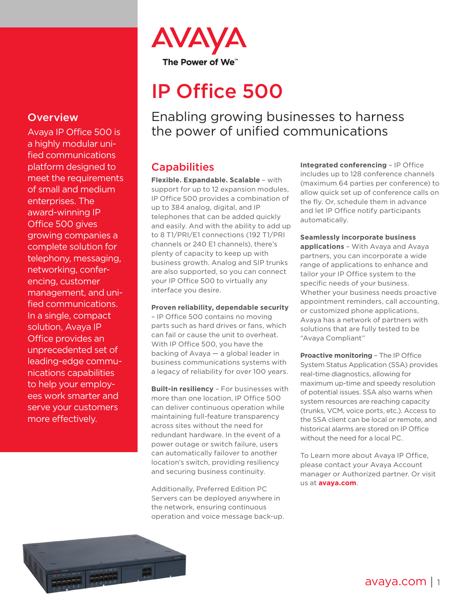

# IP Office 500

Enabling growing businesses to harness the power of unified communications

# **Capabilities**

**Flexible. Expandable. Scalable** – with support for up to 12 expansion modules, IP Office 500 provides a combination of up to 384 analog, digital, and IP telephones that can be added quickly and easily. And with the ability to add up to 8 T1/PRI/E1 connections (192 T1/PRI channels or 240 E1 channels), there's plenty of capacity to keep up with business growth. Analog and SIP trunks are also supported, so you can connect your IP Office 500 to virtually any interface you desire.

#### **Proven reliability, dependable security**

– IP Office 500 contains no moving parts such as hard drives or fans, which can fail or cause the unit to overheat. With IP Office 500, you have the backing of Avaya — a global leader in business communications systems with a legacy of reliability for over 100 years.

**Built-in resiliency** – For businesses with more than one location, IP Office 500 can deliver continuous operation while maintaining full-feature transparency across sites without the need for redundant hardware. In the event of a power outage or switch failure, users can automatically failover to another location's switch, providing resiliency and securing business continuity.

Additionally, Preferred Edition PC Servers can be deployed anywhere in the network, ensuring continuous operation and voice message back-up. **Integrated conferencing** – IP Office includes up to 128 conference channels (maximum 64 parties per conference) to allow quick set up of conference calls on the fly. Or, schedule them in advance and let IP Office notify participants automatically.

#### **Seamlessly incorporate business**

**applications** – With Avaya and Avaya partners, you can incorporate a wide range of applications to enhance and tailor your IP Office system to the specific needs of your business. Whether your business needs proactive appointment reminders, call accounting, or customized phone applications, Avaya has a network of partners with solutions that are fully tested to be "Avaya Compliant"

**Proactive monitoring** – The IP Office System Status Application (SSA) provides real-time diagnostics, allowing for maximum up-time and speedy resolution of potential issues. SSA also warns when system resources are reaching capacity (trunks, VCM, voice ports, etc.). Access to the SSA client can be local or remote, and historical alarms are stored on IP Office without the need for a local PC.

To Learn more about Avaya IP Office, please contact your Avaya Account manager or Authorized partner. Or visit us at **[avaya.com](http://www.avaya.com)**.

## **Overview**

Avaya IP Office 500 is a highly modular unified communications platform designed to meet the requirements of small and medium enterprises. The award-winning IP Office 500 gives growing companies a complete solution for telephony, messaging, networking, conferencing, customer management, and unified communications. In a single, compact solution, Avaya IP Office provides an unprecedented set of leading-edge communications capabilities to help your employees work smarter and serve your customers more effectively.